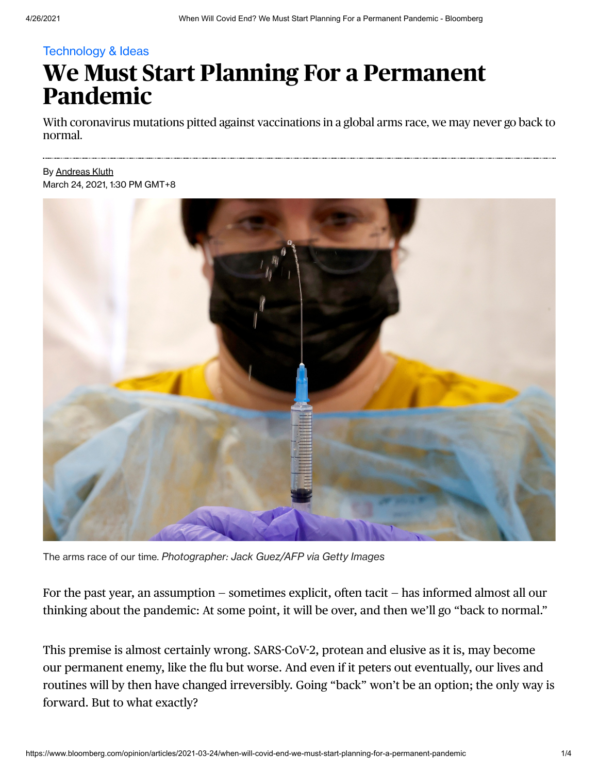## Technology & Ideas

## **We Must Start Planning For a Permanent Pandemic**

With coronavirus mutations pitted against vaccinations in a global arms race, we may never go back to normal.

## By [Andreas](https://www.bloomberg.com/opinion/authors/AUPRf8lvkug/andreas-kluth) Kluth March 24, 2021, 1:30 PM GMT+8



The arms race of our time. *Photographer: Jack Guez/AFP via Getty Images*

For the past year, an assumption — sometimes explicit, often tacit — has informed almost all our thinking about the pandemic: At some point, it will be over, and then we'll go "back to normal."

This premise is almost certainly wrong. SARS-CoV-2, protean and elusive as it is, may become our permanent enemy, like the flu but worse. And even if it peters out eventually, our lives and routines will by then have changed irreversibly. Going "back" won't be an option; the only way is forward. But to what exactly?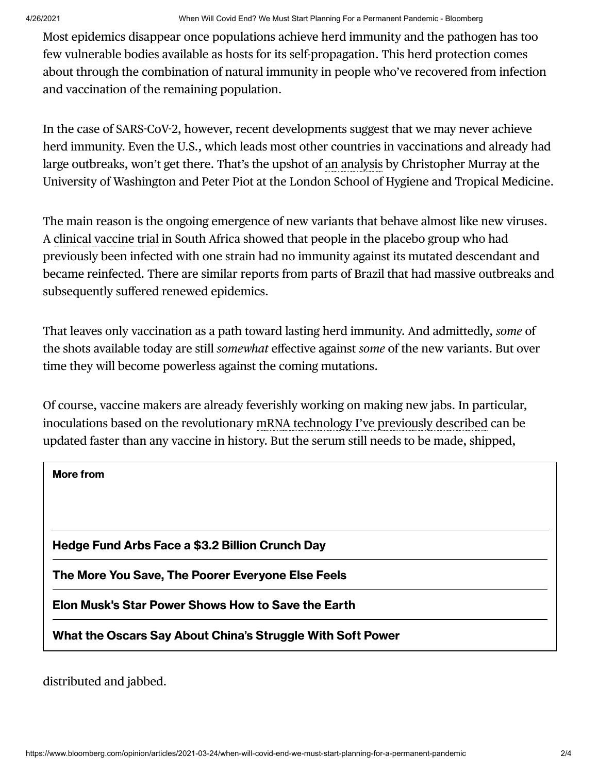Most epidemics disappear once populations achieve herd immunity and the pathogen has too few vulnerable bodies available as hosts for its self-propagation. This herd protection comes about through the combination of natural immunity in people who've recovered from infection and vaccination of the remaining population.

In the case of SARS-CoV-2, however, recent developments suggest that we may never achieve herd immunity. Even the U.S., which leads most other countries in vaccinations and already had large outbreaks, won't get there. That's the upshot of an [analysis](https://jamanetwork.com/journals/jama/fullarticle/2777343) by Christopher Murray at the University of Washington and Peter Piot at the London School of Hygiene and Tropical Medicine.

The main reason is the ongoing emergence of new variants that behave almost like new viruses. A clinical [vaccine](https://www.novavax.com/sites/default/files/2021-02/20210202-NYAS-Novavax-Final.pdf) trial in South Africa showed that people in the placebo group who had previously been infected with one strain had no immunity against its mutated descendant and became reinfected. There are similar reports from parts of Brazil that had massive outbreaks and subsequently suffered renewed epidemics.

That leaves only vaccination as a path toward lasting herd immunity. And admittedly*, some* of the shots available today are still *somewhat* effective against *some* of the new variants. But over time they will become powerless against the coming mutations.

Of course, vaccine makers are already feverishly working on making new jabs. In particular, inoculations based on the revolutionary mRNA technology I've previously described can be updated faster than any vaccine in history. But the serum still needs to be made, shipped,

| <b>More from</b>                                           |
|------------------------------------------------------------|
|                                                            |
|                                                            |
| Hedge Fund Arbs Face a \$3.2 Billion Crunch Day            |
| The More You Save, The Poorer Everyone Else Feels          |
| Elon Musk's Star Power Shows How to Save the Earth         |
| What the Oscars Say About China's Struggle With Soft Power |

distributed and jabbed.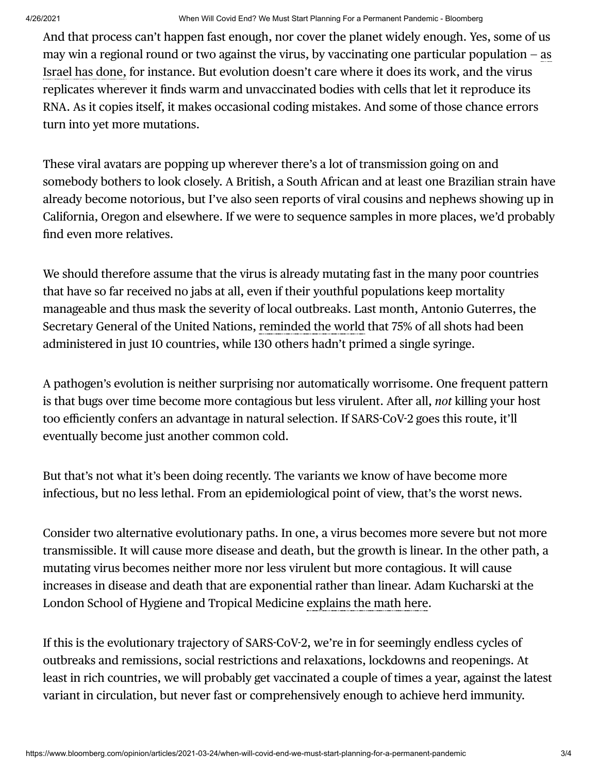And that process can't happen fast enough, nor cover the planet widely enough. Yes, some of us may win a regional round or two against the virus, by [vaccinating](https://www.bloomberg.com/graphics/covid-vaccine-tracker-global-distribution/) one particular population  $-$  as Israel has done, for instance. But evolution doesn't care where it does its work, and the virus replicates wherever it finds warm and unvaccinated bodies with cells that let it reproduce its RNA. As it copies itself, it makes occasional coding mistakes. And some of those chance errors turn into yet more mutations.

These viral avatars are popping up wherever there's a lot of transmission going on and somebody bothers to look closely. A British, a South African and at least one Brazilian strain have already become notorious, but I've also seen reports of viral cousins and nephews showing up in California, Oregon and elsewhere. If we were to sequence samples in more places, we'd probably find even more relatives.

We should therefore assume that the virus is already mutating fast in the many poor countries that have so far received no jabs at all, even if their youthful populations keep mortality manageable and thus mask the severity of local outbreaks. Last month, Antonio Guterres, the Secretary General of the United Nations, [reminded](https://www.un.org/press/en/2021/sc14438.doc.htm) the world that 75% of all shots had been administered in just 10 countries, while 130 others hadn't primed a single syringe.

A pathogen's evolution is neither surprising nor automatically worrisome. One frequent pattern is that bugs over time become more contagious but less virulent. After all, *not* killing your host too efficiently confers an advantage in natural selection. If SARS-CoV-2 goes this route, it'll eventually become just another common cold.

But that's not what it's been doing recently. The variants we know of have become more infectious, but no less lethal. From an epidemiological point of view, that's the worst news.

Consider two alternative evolutionary paths. In one, a virus becomes more severe but not more transmissible. It will cause more disease and death, but the growth is linear. In the other path, a mutating virus becomes neither more nor less virulent but more contagious. It will cause increases in disease and death that are exponential rather than linear. Adam Kucharski at the London School of Hygiene and Tropical Medicine [explains](https://twitter.com/AdamJKucharski/status/1343567425107881986) the math here.

If this is the evolutionary trajectory of SARS-CoV-2, we're in for seemingly endless cycles of outbreaks and remissions, social restrictions and relaxations, lockdowns and reopenings. At least in rich countries, we will probably get vaccinated a couple of times a year, against the latest variant in circulation, but never fast or comprehensively enough to achieve herd immunity.